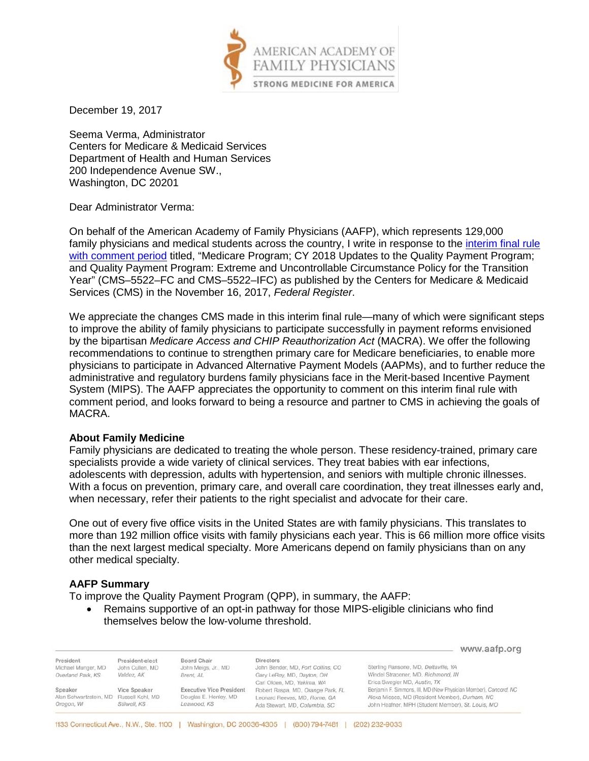

December 19, 2017

Seema Verma, Administrator Centers for Medicare & Medicaid Services Department of Health and Human Services 200 Independence Avenue SW., Washington, DC 20201

Dear Administrator Verma:

On behalf of the American Academy of Family Physicians (AAFP), which represents 129,000 family physicians and medical students across the country, I write in response to the [interim final rule](https://www.gpo.gov/fdsys/pkg/FR-2017-11-16/pdf/2017-24067.pdf)  [with comment period](https://www.gpo.gov/fdsys/pkg/FR-2017-11-16/pdf/2017-24067.pdf) titled, "Medicare Program; CY 2018 Updates to the Quality Payment Program; and Quality Payment Program: Extreme and Uncontrollable Circumstance Policy for the Transition Year" (CMS–5522–FC and CMS–5522–IFC) as published by the Centers for Medicare & Medicaid Services (CMS) in the November 16, 2017, *Federal Register*.

We appreciate the changes CMS made in this interim final rule—many of which were significant steps to improve the ability of family physicians to participate successfully in payment reforms envisioned by the bipartisan *Medicare Access and CHIP Reauthorization Act* (MACRA). We offer the following recommendations to continue to strengthen primary care for Medicare beneficiaries, to enable more physicians to participate in Advanced Alternative Payment Models (AAPMs), and to further reduce the administrative and regulatory burdens family physicians face in the Merit-based Incentive Payment System (MIPS). The AAFP appreciates the opportunity to comment on this interim final rule with comment period, and looks forward to being a resource and partner to CMS in achieving the goals of MACRA.

## **About Family Medicine**

Family physicians are dedicated to treating the whole person. These residency-trained, primary care specialists provide a wide variety of clinical services. They treat babies with ear infections, adolescents with depression, adults with hypertension, and seniors with multiple chronic illnesses. With a focus on prevention, primary care, and overall care coordination, they treat illnesses early and, when necessary, refer their patients to the right specialist and advocate for their care.

One out of every five office visits in the United States are with family physicians. This translates to more than 192 million office visits with family physicians each year. This is 66 million more office visits than the next largest medical specialty. More Americans depend on family physicians than on any other medical specialty.

## **AAFP Summary**

To improve the Quality Payment Program (QPP), in summary, the AAFP:

• Remains supportive of an opt-in pathway for those MIPS-eligible clinicians who find themselves below the low-volume threshold.

|                                                                  |                                                  |                                                                         |                                                                                                                                  | www.aafp.org                                                                                                                                                            |
|------------------------------------------------------------------|--------------------------------------------------|-------------------------------------------------------------------------|----------------------------------------------------------------------------------------------------------------------------------|-------------------------------------------------------------------------------------------------------------------------------------------------------------------------|
| President<br>Michael Munger, MD<br>Overland Park, KS             | President-elect<br>John Cullen, MD<br>Valdez, AK | Board Chair<br>John Meigs, Jr., MD<br>Brent, AL                         | <b>Directors</b><br>John Bender, MD, Fort Collins, CO<br>Gary LeRoy, MD, Dayton, OH                                              | Sterling Ransone, MD, Deltaville, VA<br>Windel Stracener, MD, Richmond, IN<br>Erica Swegler MD, Austin, TX                                                              |
| Speaker<br>Alan Schwartzstein, MD Russell Kohl, MD<br>Oregon, WI | Vice Speaker<br>Stilwell, KS                     | <b>Executive Vice President</b><br>Douglas E. Henley, MD<br>Leawood, KS | Carl Olden, MD, Yakima, WA<br>Robert Raspa, MD, Orange Park, FL<br>Leonard Reeves, MD, Rome, GA<br>Ada Stewart, MD, Columbia, SC | Benjamin F. Simmons, III, MD (New Physician Member), Concord, NC<br>Alexa Mieses, MD (Resident Member), Durham, NC<br>John Heafner, MPH (Student Member), St. Louis, MO |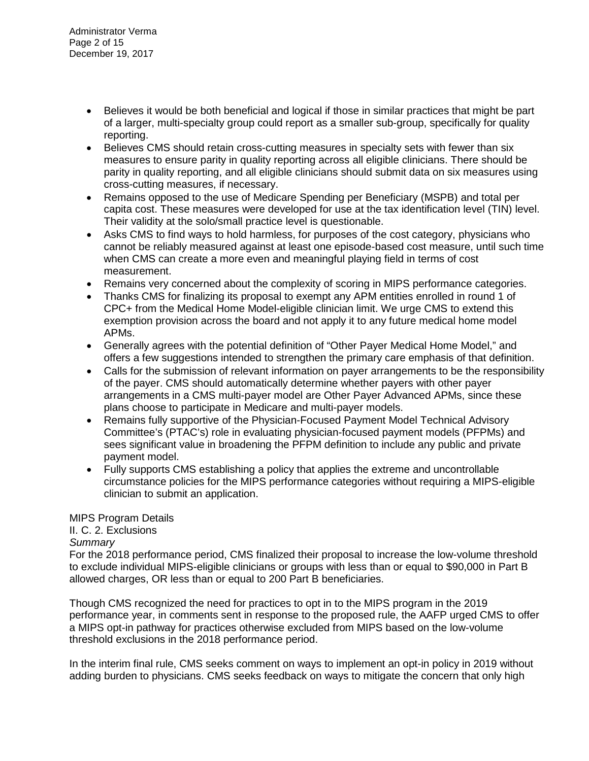- Believes it would be both beneficial and logical if those in similar practices that might be part of a larger, multi-specialty group could report as a smaller sub-group, specifically for quality reporting.
- Believes CMS should retain cross-cutting measures in specialty sets with fewer than six measures to ensure parity in quality reporting across all eligible clinicians. There should be parity in quality reporting, and all eligible clinicians should submit data on six measures using cross-cutting measures, if necessary.
- Remains opposed to the use of Medicare Spending per Beneficiary (MSPB) and total per capita cost. These measures were developed for use at the tax identification level (TIN) level. Their validity at the solo/small practice level is questionable.
- Asks CMS to find ways to hold harmless, for purposes of the cost category, physicians who cannot be reliably measured against at least one episode-based cost measure, until such time when CMS can create a more even and meaningful playing field in terms of cost measurement.
- Remains very concerned about the complexity of scoring in MIPS performance categories.
- Thanks CMS for finalizing its proposal to exempt any APM entities enrolled in round 1 of CPC+ from the Medical Home Model-eligible clinician limit. We urge CMS to extend this exemption provision across the board and not apply it to any future medical home model APMs.
- Generally agrees with the potential definition of "Other Payer Medical Home Model," and offers a few suggestions intended to strengthen the primary care emphasis of that definition.
- Calls for the submission of relevant information on payer arrangements to be the responsibility of the payer. CMS should automatically determine whether payers with other payer arrangements in a CMS multi-payer model are Other Payer Advanced APMs, since these plans choose to participate in Medicare and multi-payer models.
- Remains fully supportive of the Physician-Focused Payment Model Technical Advisory Committee's (PTAC's) role in evaluating physician-focused payment models (PFPMs) and sees significant value in broadening the PFPM definition to include any public and private payment model.
- Fully supports CMS establishing a policy that applies the extreme and uncontrollable circumstance policies for the MIPS performance categories without requiring a MIPS-eligible clinician to submit an application.

## MIPS Program Details

## II. C. 2. Exclusions

## *Summary*

For the 2018 performance period, CMS finalized their proposal to increase the low-volume threshold to exclude individual MIPS-eligible clinicians or groups with less than or equal to \$90,000 in Part B allowed charges, OR less than or equal to 200 Part B beneficiaries.

Though CMS recognized the need for practices to opt in to the MIPS program in the 2019 performance year, in comments sent in response to the proposed rule, the AAFP urged CMS to offer a MIPS opt-in pathway for practices otherwise excluded from MIPS based on the low-volume threshold exclusions in the 2018 performance period.

In the interim final rule, CMS seeks comment on ways to implement an opt-in policy in 2019 without adding burden to physicians. CMS seeks feedback on ways to mitigate the concern that only high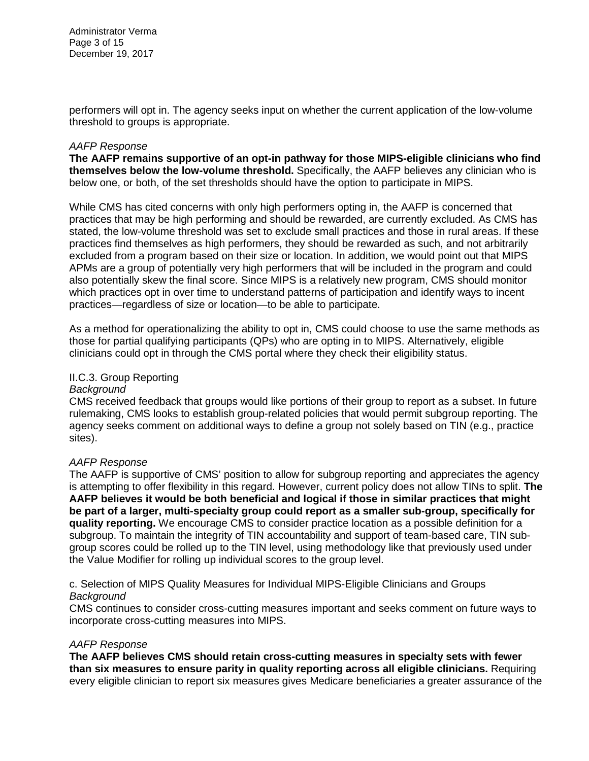Administrator Verma Page 3 of 15 December 19, 2017

performers will opt in. The agency seeks input on whether the current application of the low-volume threshold to groups is appropriate.

#### *AAFP Response*

**The AAFP remains supportive of an opt-in pathway for those MIPS-eligible clinicians who find themselves below the low-volume threshold.** Specifically, the AAFP believes any clinician who is below one, or both, of the set thresholds should have the option to participate in MIPS.

While CMS has cited concerns with only high performers opting in, the AAFP is concerned that practices that may be high performing and should be rewarded, are currently excluded. As CMS has stated, the low-volume threshold was set to exclude small practices and those in rural areas. If these practices find themselves as high performers, they should be rewarded as such, and not arbitrarily excluded from a program based on their size or location. In addition, we would point out that MIPS APMs are a group of potentially very high performers that will be included in the program and could also potentially skew the final score. Since MIPS is a relatively new program, CMS should monitor which practices opt in over time to understand patterns of participation and identify ways to incent practices—regardless of size or location—to be able to participate.

As a method for operationalizing the ability to opt in, CMS could choose to use the same methods as those for partial qualifying participants (QPs) who are opting in to MIPS. Alternatively, eligible clinicians could opt in through the CMS portal where they check their eligibility status.

## II.C.3. Group Reporting

## *Background*

CMS received feedback that groups would like portions of their group to report as a subset. In future rulemaking, CMS looks to establish group-related policies that would permit subgroup reporting. The agency seeks comment on additional ways to define a group not solely based on TIN (e.g., practice sites).

## *AAFP Response*

The AAFP is supportive of CMS' position to allow for subgroup reporting and appreciates the agency is attempting to offer flexibility in this regard. However, current policy does not allow TINs to split. **The AAFP believes it would be both beneficial and logical if those in similar practices that might be part of a larger, multi-specialty group could report as a smaller sub-group, specifically for quality reporting.** We encourage CMS to consider practice location as a possible definition for a subgroup. To maintain the integrity of TIN accountability and support of team-based care, TIN subgroup scores could be rolled up to the TIN level, using methodology like that previously used under the Value Modifier for rolling up individual scores to the group level.

c. Selection of MIPS Quality Measures for Individual MIPS-Eligible Clinicians and Groups *Background*

CMS continues to consider cross-cutting measures important and seeks comment on future ways to incorporate cross-cutting measures into MIPS.

## *AAFP Response*

**The AAFP believes CMS should retain cross-cutting measures in specialty sets with fewer than six measures to ensure parity in quality reporting across all eligible clinicians.** Requiring every eligible clinician to report six measures gives Medicare beneficiaries a greater assurance of the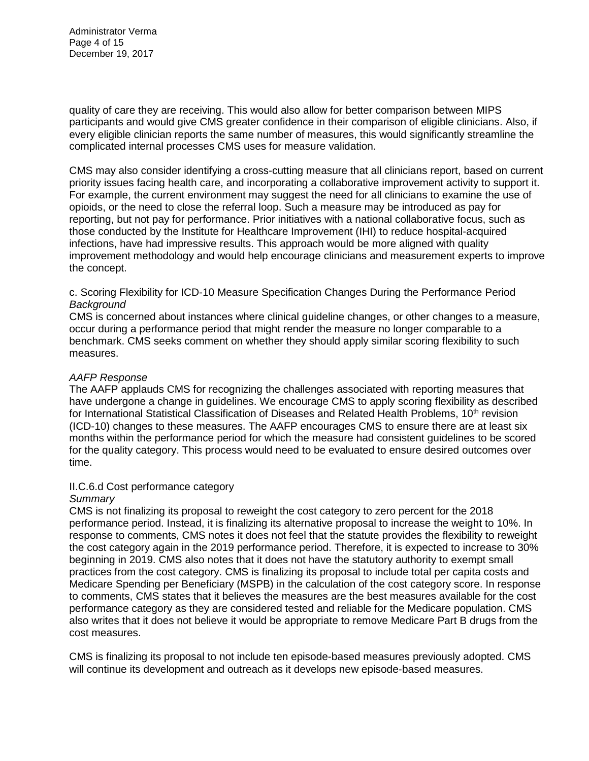Administrator Verma Page 4 of 15 December 19, 2017

quality of care they are receiving. This would also allow for better comparison between MIPS participants and would give CMS greater confidence in their comparison of eligible clinicians. Also, if every eligible clinician reports the same number of measures, this would significantly streamline the complicated internal processes CMS uses for measure validation.

CMS may also consider identifying a cross-cutting measure that all clinicians report, based on current priority issues facing health care, and incorporating a collaborative improvement activity to support it. For example, the current environment may suggest the need for all clinicians to examine the use of opioids, or the need to close the referral loop. Such a measure may be introduced as pay for reporting, but not pay for performance. Prior initiatives with a national collaborative focus, such as those conducted by the Institute for Healthcare Improvement (IHI) to reduce hospital-acquired infections, have had impressive results. This approach would be more aligned with quality improvement methodology and would help encourage clinicians and measurement experts to improve the concept.

## c. Scoring Flexibility for ICD-10 Measure Specification Changes During the Performance Period *Background*

CMS is concerned about instances where clinical guideline changes, or other changes to a measure, occur during a performance period that might render the measure no longer comparable to a benchmark. CMS seeks comment on whether they should apply similar scoring flexibility to such measures.

## *AAFP Response*

The AAFP applauds CMS for recognizing the challenges associated with reporting measures that have undergone a change in guidelines. We encourage CMS to apply scoring flexibility as described for International Statistical Classification of Diseases and Related Health Problems, 10<sup>th</sup> revision (ICD-10) changes to these measures. The AAFP encourages CMS to ensure there are at least six months within the performance period for which the measure had consistent guidelines to be scored for the quality category. This process would need to be evaluated to ensure desired outcomes over time.

## II.C.6.d Cost performance category

## *Summary*

CMS is not finalizing its proposal to reweight the cost category to zero percent for the 2018 performance period. Instead, it is finalizing its alternative proposal to increase the weight to 10%. In response to comments, CMS notes it does not feel that the statute provides the flexibility to reweight the cost category again in the 2019 performance period. Therefore, it is expected to increase to 30% beginning in 2019. CMS also notes that it does not have the statutory authority to exempt small practices from the cost category. CMS is finalizing its proposal to include total per capita costs and Medicare Spending per Beneficiary (MSPB) in the calculation of the cost category score. In response to comments, CMS states that it believes the measures are the best measures available for the cost performance category as they are considered tested and reliable for the Medicare population. CMS also writes that it does not believe it would be appropriate to remove Medicare Part B drugs from the cost measures.

CMS is finalizing its proposal to not include ten episode-based measures previously adopted. CMS will continue its development and outreach as it develops new episode-based measures.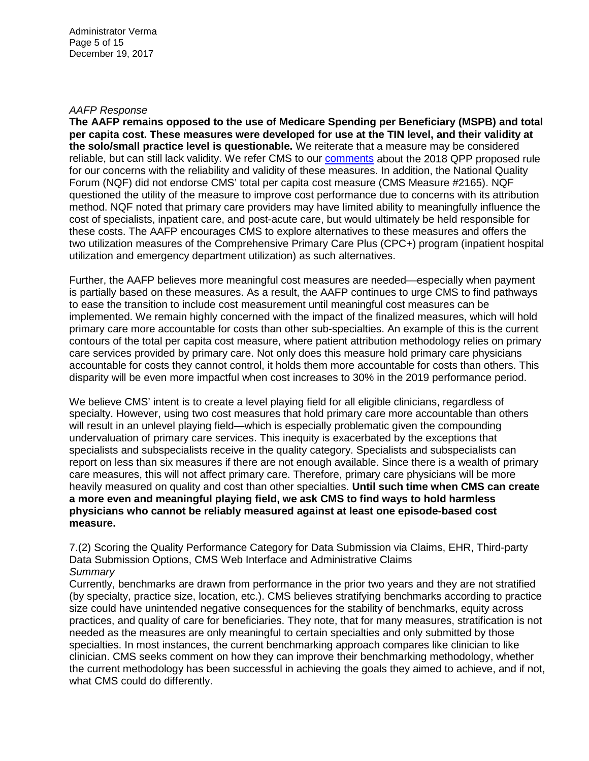#### *AAFP Response*

**The AAFP remains opposed to the use of Medicare Spending per Beneficiary (MSPB) and total per capita cost. These measures were developed for use at the TIN level, and their validity at the solo/small practice level is questionable.** We reiterate that a measure may be considered reliable, but can still lack validity. We refer CMS to our [comments](https://www.aafp.org/dam/AAFP/documents/advocacy/payment/medicare/LT-CMS-2018ProposedQPP-081817.pdf) about the 2018 QPP proposed rule for our concerns with the reliability and validity of these measures. In addition, the National Quality Forum (NQF) did not endorse CMS' total per capita cost measure (CMS Measure #2165). NQF questioned the utility of the measure to improve cost performance due to concerns with its attribution method. NQF noted that primary care providers may have limited ability to meaningfully influence the cost of specialists, inpatient care, and post-acute care, but would ultimately be held responsible for these costs. The AAFP encourages CMS to explore alternatives to these measures and offers the two utilization measures of the Comprehensive Primary Care Plus (CPC+) program (inpatient hospital utilization and emergency department utilization) as such alternatives.

Further, the AAFP believes more meaningful cost measures are needed—especially when payment is partially based on these measures. As a result, the AAFP continues to urge CMS to find pathways to ease the transition to include cost measurement until meaningful cost measures can be implemented. We remain highly concerned with the impact of the finalized measures, which will hold primary care more accountable for costs than other sub-specialties. An example of this is the current contours of the total per capita cost measure, where patient attribution methodology relies on primary care services provided by primary care. Not only does this measure hold primary care physicians accountable for costs they cannot control, it holds them more accountable for costs than others. This disparity will be even more impactful when cost increases to 30% in the 2019 performance period.

We believe CMS' intent is to create a level playing field for all eligible clinicians, regardless of specialty. However, using two cost measures that hold primary care more accountable than others will result in an unlevel playing field—which is especially problematic given the compounding undervaluation of primary care services. This inequity is exacerbated by the exceptions that specialists and subspecialists receive in the quality category. Specialists and subspecialists can report on less than six measures if there are not enough available. Since there is a wealth of primary care measures, this will not affect primary care. Therefore, primary care physicians will be more heavily measured on quality and cost than other specialties. **Until such time when CMS can create a more even and meaningful playing field, we ask CMS to find ways to hold harmless physicians who cannot be reliably measured against at least one episode-based cost measure.**

7.(2) Scoring the Quality Performance Category for Data Submission via Claims, EHR, Third-party Data Submission Options, CMS Web Interface and Administrative Claims *Summary*

Currently, benchmarks are drawn from performance in the prior two years and they are not stratified (by specialty, practice size, location, etc.). CMS believes stratifying benchmarks according to practice size could have unintended negative consequences for the stability of benchmarks, equity across practices, and quality of care for beneficiaries. They note, that for many measures, stratification is not needed as the measures are only meaningful to certain specialties and only submitted by those specialties. In most instances, the current benchmarking approach compares like clinician to like clinician. CMS seeks comment on how they can improve their benchmarking methodology, whether the current methodology has been successful in achieving the goals they aimed to achieve, and if not, what CMS could do differently.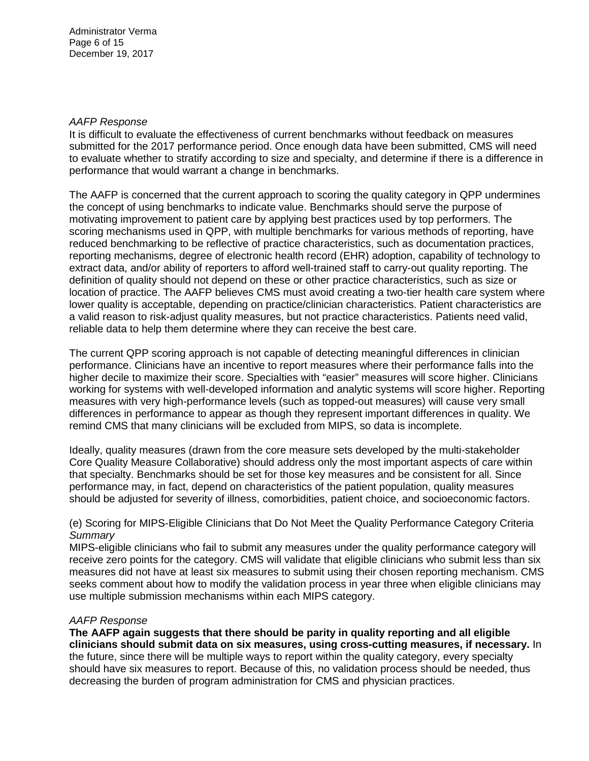## *AAFP Response*

It is difficult to evaluate the effectiveness of current benchmarks without feedback on measures submitted for the 2017 performance period. Once enough data have been submitted, CMS will need to evaluate whether to stratify according to size and specialty, and determine if there is a difference in performance that would warrant a change in benchmarks.

The AAFP is concerned that the current approach to scoring the quality category in QPP undermines the concept of using benchmarks to indicate value. Benchmarks should serve the purpose of motivating improvement to patient care by applying best practices used by top performers. The scoring mechanisms used in QPP, with multiple benchmarks for various methods of reporting, have reduced benchmarking to be reflective of practice characteristics, such as documentation practices, reporting mechanisms, degree of electronic health record (EHR) adoption, capability of technology to extract data, and/or ability of reporters to afford well-trained staff to carry-out quality reporting. The definition of quality should not depend on these or other practice characteristics, such as size or location of practice. The AAFP believes CMS must avoid creating a two-tier health care system where lower quality is acceptable, depending on practice/clinician characteristics. Patient characteristics are a valid reason to risk-adjust quality measures, but not practice characteristics. Patients need valid, reliable data to help them determine where they can receive the best care.

The current QPP scoring approach is not capable of detecting meaningful differences in clinician performance. Clinicians have an incentive to report measures where their performance falls into the higher decile to maximize their score. Specialties with "easier" measures will score higher. Clinicians working for systems with well-developed information and analytic systems will score higher. Reporting measures with very high-performance levels (such as topped-out measures) will cause very small differences in performance to appear as though they represent important differences in quality. We remind CMS that many clinicians will be excluded from MIPS, so data is incomplete.

Ideally, quality measures (drawn from the core measure sets developed by the multi-stakeholder Core Quality Measure Collaborative) should address only the most important aspects of care within that specialty. Benchmarks should be set for those key measures and be consistent for all. Since performance may, in fact, depend on characteristics of the patient population, quality measures should be adjusted for severity of illness, comorbidities, patient choice, and socioeconomic factors.

## (e) Scoring for MIPS-Eligible Clinicians that Do Not Meet the Quality Performance Category Criteria *Summary*

MIPS-eligible clinicians who fail to submit any measures under the quality performance category will receive zero points for the category. CMS will validate that eligible clinicians who submit less than six measures did not have at least six measures to submit using their chosen reporting mechanism. CMS seeks comment about how to modify the validation process in year three when eligible clinicians may use multiple submission mechanisms within each MIPS category.

## *AAFP Response*

**The AAFP again suggests that there should be parity in quality reporting and all eligible clinicians should submit data on six measures, using cross-cutting measures, if necessary.** In the future, since there will be multiple ways to report within the quality category, every specialty should have six measures to report. Because of this, no validation process should be needed, thus decreasing the burden of program administration for CMS and physician practices.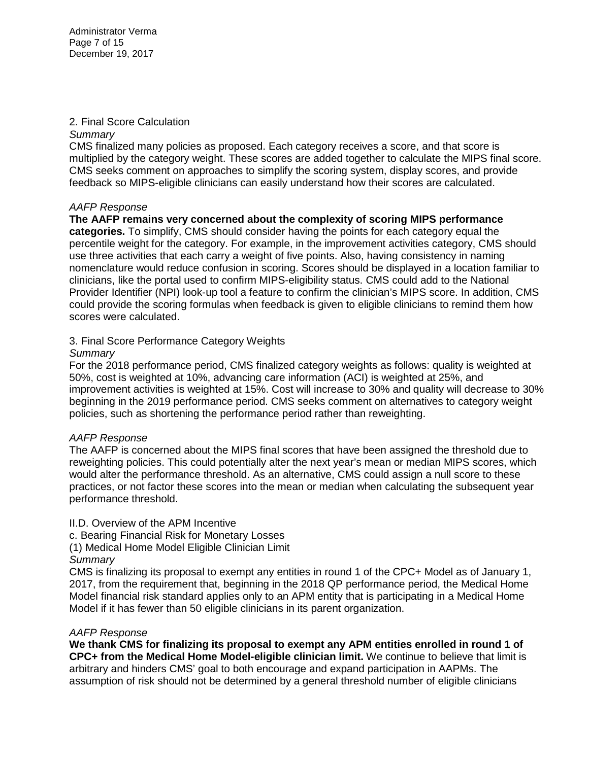Administrator Verma Page 7 of 15 December 19, 2017

## 2. Final Score Calculation

## *Summary*

CMS finalized many policies as proposed. Each category receives a score, and that score is multiplied by the category weight. These scores are added together to calculate the MIPS final score. CMS seeks comment on approaches to simplify the scoring system, display scores, and provide feedback so MIPS-eligible clinicians can easily understand how their scores are calculated.

# *AAFP Response*

**The AAFP remains very concerned about the complexity of scoring MIPS performance categories.** To simplify, CMS should consider having the points for each category equal the percentile weight for the category. For example, in the improvement activities category, CMS should use three activities that each carry a weight of five points. Also, having consistency in naming nomenclature would reduce confusion in scoring. Scores should be displayed in a location familiar to clinicians, like the portal used to confirm MIPS-eligibility status. CMS could add to the National Provider Identifier (NPI) look-up tool a feature to confirm the clinician's MIPS score. In addition, CMS could provide the scoring formulas when feedback is given to eligible clinicians to remind them how scores were calculated.

# 3. Final Score Performance Category Weights

# *Summary*

For the 2018 performance period, CMS finalized category weights as follows: quality is weighted at 50%, cost is weighted at 10%, advancing care information (ACI) is weighted at 25%, and improvement activities is weighted at 15%. Cost will increase to 30% and quality will decrease to 30% beginning in the 2019 performance period. CMS seeks comment on alternatives to category weight policies, such as shortening the performance period rather than reweighting.

## *AAFP Response*

The AAFP is concerned about the MIPS final scores that have been assigned the threshold due to reweighting policies. This could potentially alter the next year's mean or median MIPS scores, which would alter the performance threshold. As an alternative, CMS could assign a null score to these practices, or not factor these scores into the mean or median when calculating the subsequent year performance threshold.

# II.D. Overview of the APM Incentive

c. Bearing Financial Risk for Monetary Losses

(1) Medical Home Model Eligible Clinician Limit

## *Summary*

CMS is finalizing its proposal to exempt any entities in round 1 of the CPC+ Model as of January 1, 2017, from the requirement that, beginning in the 2018 QP performance period, the Medical Home Model financial risk standard applies only to an APM entity that is participating in a Medical Home Model if it has fewer than 50 eligible clinicians in its parent organization.

## *AAFP Response*

**We thank CMS for finalizing its proposal to exempt any APM entities enrolled in round 1 of CPC+ from the Medical Home Model-eligible clinician limit.** We continue to believe that limit is arbitrary and hinders CMS' goal to both encourage and expand participation in AAPMs. The assumption of risk should not be determined by a general threshold number of eligible clinicians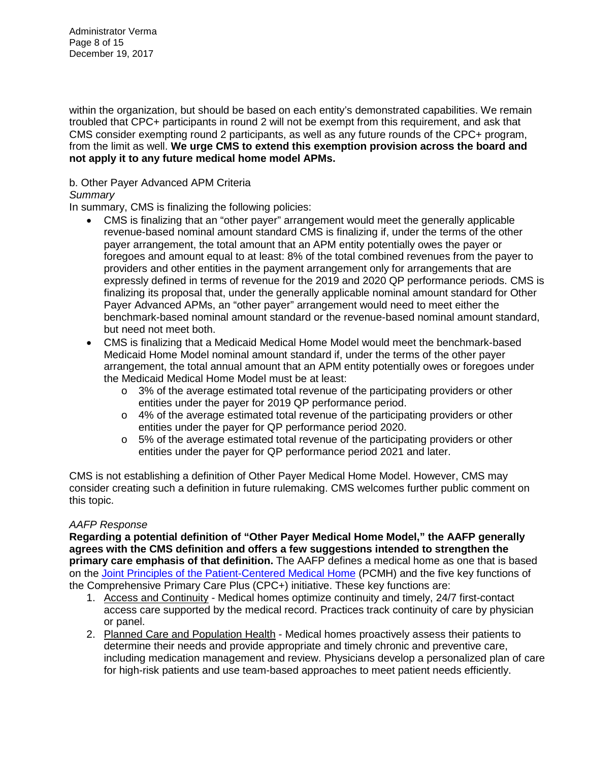Administrator Verma Page 8 of 15 December 19, 2017

within the organization, but should be based on each entity's demonstrated capabilities. We remain troubled that CPC+ participants in round 2 will not be exempt from this requirement, and ask that CMS consider exempting round 2 participants, as well as any future rounds of the CPC+ program, from the limit as well. **We urge CMS to extend this exemption provision across the board and not apply it to any future medical home model APMs.**

# b. Other Payer Advanced APM Criteria

## *Summary*

In summary, CMS is finalizing the following policies:

- CMS is finalizing that an "other payer" arrangement would meet the generally applicable revenue-based nominal amount standard CMS is finalizing if, under the terms of the other payer arrangement, the total amount that an APM entity potentially owes the payer or foregoes and amount equal to at least: 8% of the total combined revenues from the payer to providers and other entities in the payment arrangement only for arrangements that are expressly defined in terms of revenue for the 2019 and 2020 QP performance periods. CMS is finalizing its proposal that, under the generally applicable nominal amount standard for Other Payer Advanced APMs, an "other payer" arrangement would need to meet either the benchmark-based nominal amount standard or the revenue-based nominal amount standard, but need not meet both.
- CMS is finalizing that a Medicaid Medical Home Model would meet the benchmark-based Medicaid Home Model nominal amount standard if, under the terms of the other payer arrangement, the total annual amount that an APM entity potentially owes or foregoes under the Medicaid Medical Home Model must be at least:
	- o 3% of the average estimated total revenue of the participating providers or other entities under the payer for 2019 QP performance period.
	- $\circ$  4% of the average estimated total revenue of the participating providers or other entities under the payer for QP performance period 2020.
	- o 5% of the average estimated total revenue of the participating providers or other entities under the payer for QP performance period 2021 and later.

CMS is not establishing a definition of Other Payer Medical Home Model. However, CMS may consider creating such a definition in future rulemaking. CMS welcomes further public comment on this topic.

## *AAFP Response*

**Regarding a potential definition of "Other Payer Medical Home Model," the AAFP generally agrees with the CMS definition and offers a few suggestions intended to strengthen the primary care emphasis of that definition.** The AAFP defines a medical home as one that is based on the [Joint Principles of the Patient-Centered Medical Home](http://www.aafp.org/dam/AAFP/documents/practice_management/pcmh/initiatives/PCMHJoint.pdf) (PCMH) and the five key functions of the Comprehensive Primary Care Plus (CPC+) initiative. These key functions are:

- 1. Access and Continuity Medical homes optimize continuity and timely, 24/7 first-contact access care supported by the medical record. Practices track continuity of care by physician or panel.
- 2. Planned Care and Population Health Medical homes proactively assess their patients to determine their needs and provide appropriate and timely chronic and preventive care, including medication management and review. Physicians develop a personalized plan of care for high-risk patients and use team-based approaches to meet patient needs efficiently.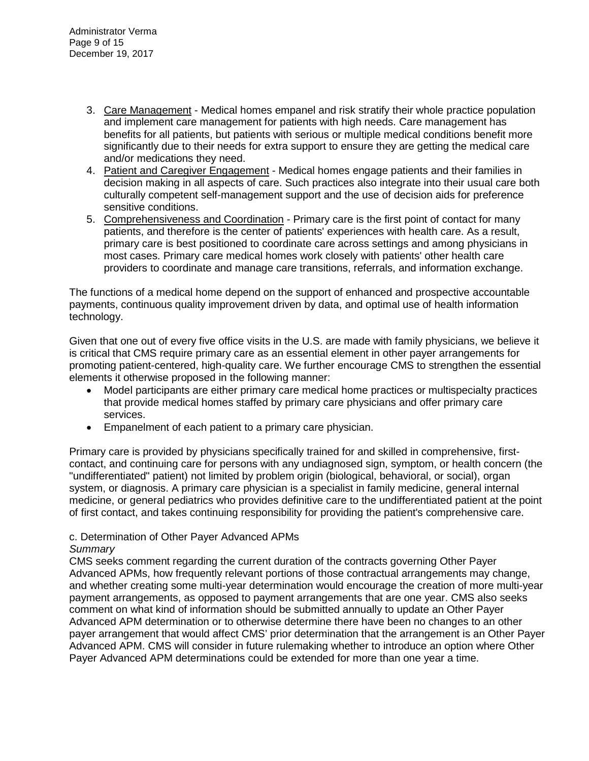- 3. Care Management Medical homes empanel and risk stratify their whole practice population and implement care management for patients with high needs. Care management has benefits for all patients, but patients with serious or multiple medical conditions benefit more significantly due to their needs for extra support to ensure they are getting the medical care and/or medications they need.
- 4. Patient and Caregiver Engagement Medical homes engage patients and their families in decision making in all aspects of care. Such practices also integrate into their usual care both culturally competent self-management support and the use of decision aids for preference sensitive conditions.
- 5. Comprehensiveness and Coordination Primary care is the first point of contact for many patients, and therefore is the center of patients' experiences with health care. As a result, primary care is best positioned to coordinate care across settings and among physicians in most cases. Primary care medical homes work closely with patients' other health care providers to coordinate and manage care transitions, referrals, and information exchange.

The functions of a medical home depend on the support of enhanced and prospective accountable payments, continuous quality improvement driven by data, and optimal use of health information technology.

Given that one out of every five office visits in the U.S. are made with family physicians, we believe it is critical that CMS require primary care as an essential element in other payer arrangements for promoting patient-centered, high-quality care. We further encourage CMS to strengthen the essential elements it otherwise proposed in the following manner:

- Model participants are either primary care medical home practices or multispecialty practices that provide medical homes staffed by primary care physicians and offer primary care services.
- Empanelment of each patient to a primary care physician.

Primary care is provided by physicians specifically trained for and skilled in comprehensive, firstcontact, and continuing care for persons with any undiagnosed sign, symptom, or health concern (the "undifferentiated" patient) not limited by problem origin (biological, behavioral, or social), organ system, or diagnosis. A primary care physician is a specialist in family medicine, general internal medicine, or general pediatrics who provides definitive care to the undifferentiated patient at the point of first contact, and takes continuing responsibility for providing the patient's comprehensive care.

# c. Determination of Other Payer Advanced APMs

# *Summary*

CMS seeks comment regarding the current duration of the contracts governing Other Payer Advanced APMs, how frequently relevant portions of those contractual arrangements may change, and whether creating some multi-year determination would encourage the creation of more multi-year payment arrangements, as opposed to payment arrangements that are one year. CMS also seeks comment on what kind of information should be submitted annually to update an Other Payer Advanced APM determination or to otherwise determine there have been no changes to an other payer arrangement that would affect CMS' prior determination that the arrangement is an Other Payer Advanced APM. CMS will consider in future rulemaking whether to introduce an option where Other Payer Advanced APM determinations could be extended for more than one year a time.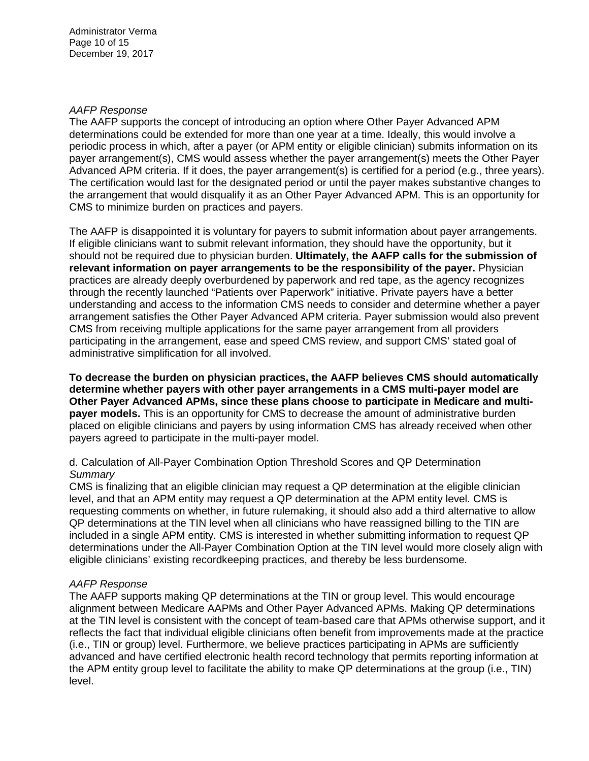## *AAFP Response*

The AAFP supports the concept of introducing an option where Other Payer Advanced APM determinations could be extended for more than one year at a time. Ideally, this would involve a periodic process in which, after a payer (or APM entity or eligible clinician) submits information on its payer arrangement(s), CMS would assess whether the payer arrangement(s) meets the Other Payer Advanced APM criteria. If it does, the payer arrangement(s) is certified for a period (e.g., three years). The certification would last for the designated period or until the payer makes substantive changes to the arrangement that would disqualify it as an Other Payer Advanced APM. This is an opportunity for CMS to minimize burden on practices and payers.

The AAFP is disappointed it is voluntary for payers to submit information about payer arrangements. If eligible clinicians want to submit relevant information, they should have the opportunity, but it should not be required due to physician burden. **Ultimately, the AAFP calls for the submission of relevant information on payer arrangements to be the responsibility of the payer.** Physician practices are already deeply overburdened by paperwork and red tape, as the agency recognizes through the recently launched "Patients over Paperwork" initiative. Private payers have a better understanding and access to the information CMS needs to consider and determine whether a payer arrangement satisfies the Other Payer Advanced APM criteria. Payer submission would also prevent CMS from receiving multiple applications for the same payer arrangement from all providers participating in the arrangement, ease and speed CMS review, and support CMS' stated goal of administrative simplification for all involved.

**To decrease the burden on physician practices, the AAFP believes CMS should automatically determine whether payers with other payer arrangements in a CMS multi-payer model are Other Payer Advanced APMs, since these plans choose to participate in Medicare and multipayer models.** This is an opportunity for CMS to decrease the amount of administrative burden placed on eligible clinicians and payers by using information CMS has already received when other payers agreed to participate in the multi-payer model.

# d. Calculation of All-Payer Combination Option Threshold Scores and QP Determination *Summary*

CMS is finalizing that an eligible clinician may request a QP determination at the eligible clinician level, and that an APM entity may request a QP determination at the APM entity level. CMS is requesting comments on whether, in future rulemaking, it should also add a third alternative to allow QP determinations at the TIN level when all clinicians who have reassigned billing to the TIN are included in a single APM entity. CMS is interested in whether submitting information to request QP determinations under the All-Payer Combination Option at the TIN level would more closely align with eligible clinicians' existing recordkeeping practices, and thereby be less burdensome.

## *AAFP Response*

The AAFP supports making QP determinations at the TIN or group level. This would encourage alignment between Medicare AAPMs and Other Payer Advanced APMs. Making QP determinations at the TIN level is consistent with the concept of team-based care that APMs otherwise support, and it reflects the fact that individual eligible clinicians often benefit from improvements made at the practice (i.e., TIN or group) level. Furthermore, we believe practices participating in APMs are sufficiently advanced and have certified electronic health record technology that permits reporting information at the APM entity group level to facilitate the ability to make QP determinations at the group (i.e., TIN) level.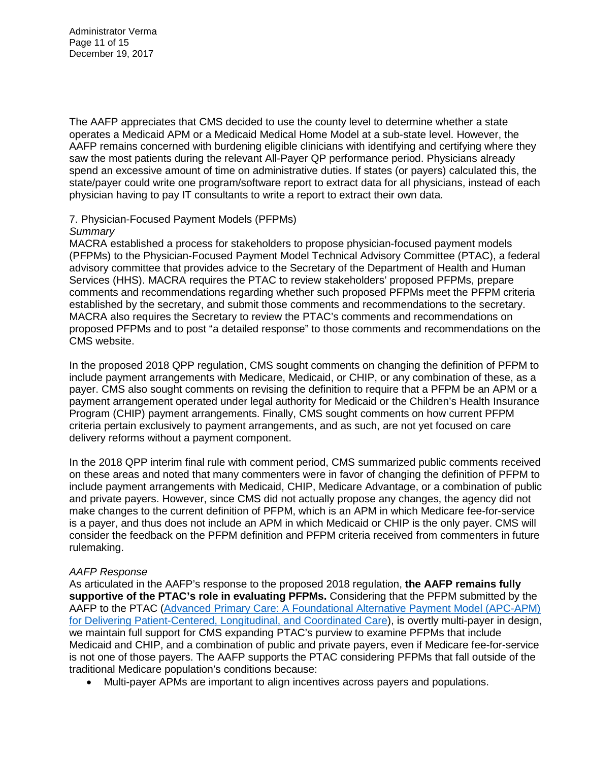The AAFP appreciates that CMS decided to use the county level to determine whether a state operates a Medicaid APM or a Medicaid Medical Home Model at a sub-state level. However, the AAFP remains concerned with burdening eligible clinicians with identifying and certifying where they saw the most patients during the relevant All-Payer QP performance period. Physicians already spend an excessive amount of time on administrative duties. If states (or payers) calculated this, the state/payer could write one program/software report to extract data for all physicians, instead of each physician having to pay IT consultants to write a report to extract their own data.

#### 7. Physician-Focused Payment Models (PFPMs) *Summary*

## MACRA established a process for stakeholders to propose physician-focused payment models (PFPMs) to the Physician-Focused Payment Model Technical Advisory Committee (PTAC), a federal advisory committee that provides advice to the Secretary of the Department of Health and Human Services (HHS). MACRA requires the PTAC to review stakeholders' proposed PFPMs, prepare comments and recommendations regarding whether such proposed PFPMs meet the PFPM criteria established by the secretary, and submit those comments and recommendations to the secretary. MACRA also requires the Secretary to review the PTAC's comments and recommendations on proposed PFPMs and to post "a detailed response" to those comments and recommendations on the CMS website.

In the proposed 2018 QPP regulation, CMS sought comments on changing the definition of PFPM to include payment arrangements with Medicare, Medicaid, or CHIP, or any combination of these, as a payer. CMS also sought comments on revising the definition to require that a PFPM be an APM or a payment arrangement operated under legal authority for Medicaid or the Children's Health Insurance Program (CHIP) payment arrangements. Finally, CMS sought comments on how current PFPM criteria pertain exclusively to payment arrangements, and as such, are not yet focused on care delivery reforms without a payment component.

In the 2018 QPP interim final rule with comment period, CMS summarized public comments received on these areas and noted that many commenters were in favor of changing the definition of PFPM to include payment arrangements with Medicaid, CHIP, Medicare Advantage, or a combination of public and private payers. However, since CMS did not actually propose any changes, the agency did not make changes to the current definition of PFPM, which is an APM in which Medicare fee-for-service is a payer, and thus does not include an APM in which Medicaid or CHIP is the only payer. CMS will consider the feedback on the PFPM definition and PFPM criteria received from commenters in future rulemaking.

# *AAFP Response*

As articulated in the AAFP's response to the proposed 2018 regulation, **the AAFP remains fully supportive of the PTAC's role in evaluating PFPMs.** Considering that the PFPM submitted by the AAFP to the PTAC [\(Advanced Primary Care: A Foundational Alternative Payment Model \(APC-APM\)](http://www.aafp.org/dam/AAFP/documents/advocacy/payment/apms/PR-PTAC-APC-APM-41417.pdf)  [for Delivering Patient-Centered, Longitudinal, and Coordinated Care\)](http://www.aafp.org/dam/AAFP/documents/advocacy/payment/apms/PR-PTAC-APC-APM-41417.pdf), is overtly multi-payer in design, we maintain full support for CMS expanding PTAC's purview to examine PFPMs that include Medicaid and CHIP, and a combination of public and private payers, even if Medicare fee-for-service is not one of those payers. The AAFP supports the PTAC considering PFPMs that fall outside of the traditional Medicare population's conditions because:

• Multi-payer APMs are important to align incentives across payers and populations.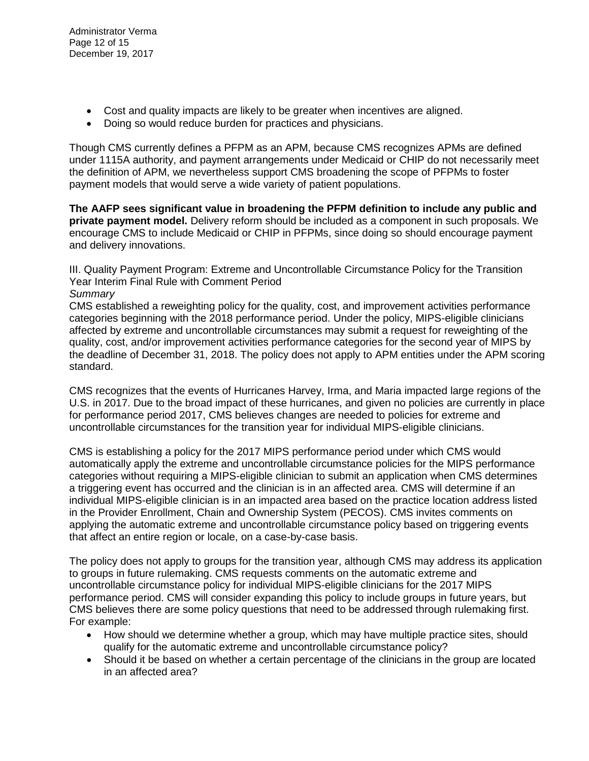- Cost and quality impacts are likely to be greater when incentives are aligned.
- Doing so would reduce burden for practices and physicians.

Though CMS currently defines a PFPM as an APM, because CMS recognizes APMs are defined under 1115A authority, and payment arrangements under Medicaid or CHIP do not necessarily meet the definition of APM, we nevertheless support CMS broadening the scope of PFPMs to foster payment models that would serve a wide variety of patient populations.

**The AAFP sees significant value in broadening the PFPM definition to include any public and private payment model.** Delivery reform should be included as a component in such proposals. We encourage CMS to include Medicaid or CHIP in PFPMs, since doing so should encourage payment and delivery innovations.

III. Quality Payment Program: Extreme and Uncontrollable Circumstance Policy for the Transition Year Interim Final Rule with Comment Period

## *Summary*

CMS established a reweighting policy for the quality, cost, and improvement activities performance categories beginning with the 2018 performance period. Under the policy, MIPS-eligible clinicians affected by extreme and uncontrollable circumstances may submit a request for reweighting of the quality, cost, and/or improvement activities performance categories for the second year of MIPS by the deadline of December 31, 2018. The policy does not apply to APM entities under the APM scoring standard.

CMS recognizes that the events of Hurricanes Harvey, Irma, and Maria impacted large regions of the U.S. in 2017. Due to the broad impact of these hurricanes, and given no policies are currently in place for performance period 2017, CMS believes changes are needed to policies for extreme and uncontrollable circumstances for the transition year for individual MIPS-eligible clinicians.

CMS is establishing a policy for the 2017 MIPS performance period under which CMS would automatically apply the extreme and uncontrollable circumstance policies for the MIPS performance categories without requiring a MIPS-eligible clinician to submit an application when CMS determines a triggering event has occurred and the clinician is in an affected area. CMS will determine if an individual MIPS-eligible clinician is in an impacted area based on the practice location address listed in the Provider Enrollment, Chain and Ownership System (PECOS). CMS invites comments on applying the automatic extreme and uncontrollable circumstance policy based on triggering events that affect an entire region or locale, on a case-by-case basis.

The policy does not apply to groups for the transition year, although CMS may address its application to groups in future rulemaking. CMS requests comments on the automatic extreme and uncontrollable circumstance policy for individual MIPS-eligible clinicians for the 2017 MIPS performance period. CMS will consider expanding this policy to include groups in future years, but CMS believes there are some policy questions that need to be addressed through rulemaking first. For example:

- How should we determine whether a group, which may have multiple practice sites, should qualify for the automatic extreme and uncontrollable circumstance policy?
- Should it be based on whether a certain percentage of the clinicians in the group are located in an affected area?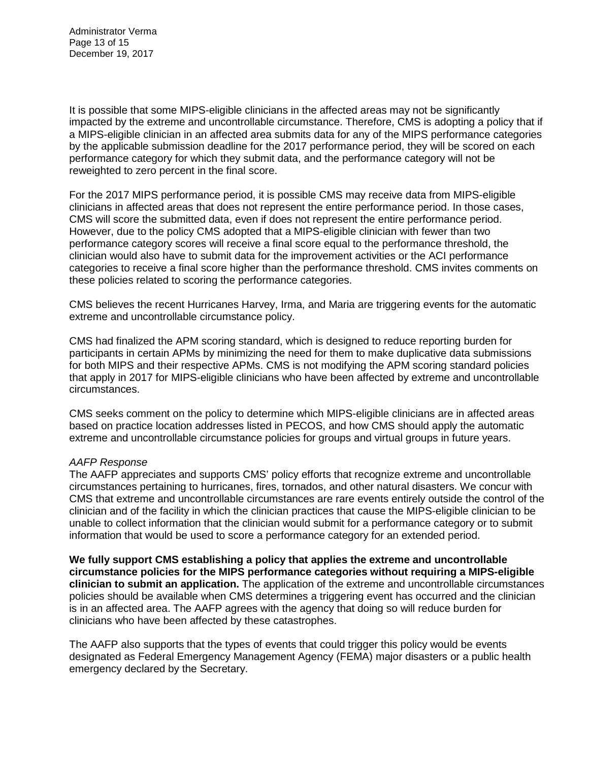Administrator Verma Page 13 of 15 December 19, 2017

It is possible that some MIPS-eligible clinicians in the affected areas may not be significantly impacted by the extreme and uncontrollable circumstance. Therefore, CMS is adopting a policy that if a MIPS-eligible clinician in an affected area submits data for any of the MIPS performance categories by the applicable submission deadline for the 2017 performance period, they will be scored on each performance category for which they submit data, and the performance category will not be reweighted to zero percent in the final score.

For the 2017 MIPS performance period, it is possible CMS may receive data from MIPS-eligible clinicians in affected areas that does not represent the entire performance period. In those cases, CMS will score the submitted data, even if does not represent the entire performance period. However, due to the policy CMS adopted that a MIPS-eligible clinician with fewer than two performance category scores will receive a final score equal to the performance threshold, the clinician would also have to submit data for the improvement activities or the ACI performance categories to receive a final score higher than the performance threshold. CMS invites comments on these policies related to scoring the performance categories.

CMS believes the recent Hurricanes Harvey, Irma, and Maria are triggering events for the automatic extreme and uncontrollable circumstance policy.

CMS had finalized the APM scoring standard, which is designed to reduce reporting burden for participants in certain APMs by minimizing the need for them to make duplicative data submissions for both MIPS and their respective APMs. CMS is not modifying the APM scoring standard policies that apply in 2017 for MIPS-eligible clinicians who have been affected by extreme and uncontrollable circumstances.

CMS seeks comment on the policy to determine which MIPS-eligible clinicians are in affected areas based on practice location addresses listed in PECOS, and how CMS should apply the automatic extreme and uncontrollable circumstance policies for groups and virtual groups in future years.

## *AAFP Response*

The AAFP appreciates and supports CMS' policy efforts that recognize extreme and uncontrollable circumstances pertaining to hurricanes, fires, tornados, and other natural disasters. We concur with CMS that extreme and uncontrollable circumstances are rare events entirely outside the control of the clinician and of the facility in which the clinician practices that cause the MIPS-eligible clinician to be unable to collect information that the clinician would submit for a performance category or to submit information that would be used to score a performance category for an extended period.

**We fully support CMS establishing a policy that applies the extreme and uncontrollable circumstance policies for the MIPS performance categories without requiring a MIPS-eligible clinician to submit an application.** The application of the extreme and uncontrollable circumstances policies should be available when CMS determines a triggering event has occurred and the clinician is in an affected area. The AAFP agrees with the agency that doing so will reduce burden for clinicians who have been affected by these catastrophes.

The AAFP also supports that the types of events that could trigger this policy would be events designated as Federal Emergency Management Agency (FEMA) major disasters or a public health emergency declared by the Secretary.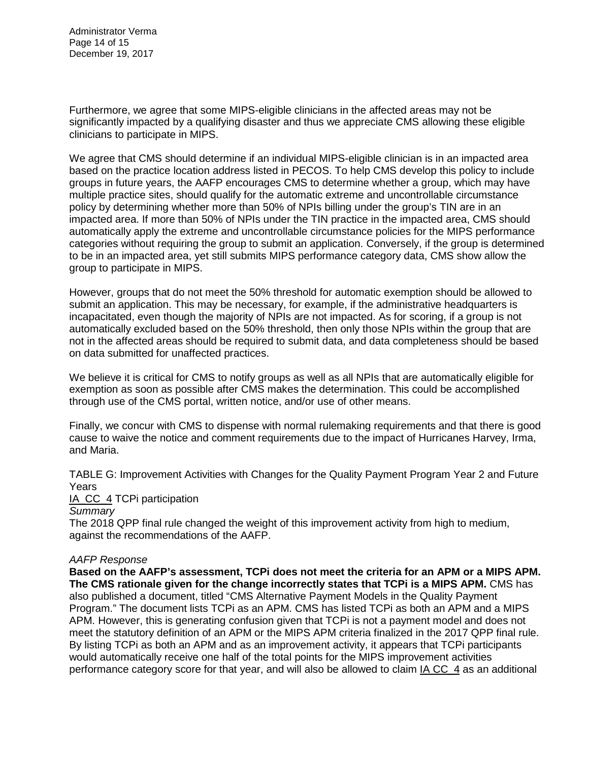Administrator Verma Page 14 of 15 December 19, 2017

Furthermore, we agree that some MIPS-eligible clinicians in the affected areas may not be significantly impacted by a qualifying disaster and thus we appreciate CMS allowing these eligible clinicians to participate in MIPS.

We agree that CMS should determine if an individual MIPS-eligible clinician is in an impacted area based on the practice location address listed in PECOS. To help CMS develop this policy to include groups in future years, the AAFP encourages CMS to determine whether a group, which may have multiple practice sites, should qualify for the automatic extreme and uncontrollable circumstance policy by determining whether more than 50% of NPIs billing under the group's TIN are in an impacted area. If more than 50% of NPIs under the TIN practice in the impacted area, CMS should automatically apply the extreme and uncontrollable circumstance policies for the MIPS performance categories without requiring the group to submit an application. Conversely, if the group is determined to be in an impacted area, yet still submits MIPS performance category data, CMS show allow the group to participate in MIPS.

However, groups that do not meet the 50% threshold for automatic exemption should be allowed to submit an application. This may be necessary, for example, if the administrative headquarters is incapacitated, even though the majority of NPIs are not impacted. As for scoring, if a group is not automatically excluded based on the 50% threshold, then only those NPIs within the group that are not in the affected areas should be required to submit data, and data completeness should be based on data submitted for unaffected practices.

We believe it is critical for CMS to notify groups as well as all NPIs that are automatically eligible for exemption as soon as possible after CMS makes the determination. This could be accomplished through use of the CMS portal, written notice, and/or use of other means.

Finally, we concur with CMS to dispense with normal rulemaking requirements and that there is good cause to waive the notice and comment requirements due to the impact of Hurricanes Harvey, Irma, and Maria.

TABLE G: Improvement Activities with Changes for the Quality Payment Program Year 2 and Future Years

IA CC 4 TCPi participation

## *Summary*

The 2018 QPP final rule changed the weight of this improvement activity from high to medium, against the recommendations of the AAFP.

## *AAFP Response*

**Based on the AAFP's assessment, TCPi does not meet the criteria for an APM or a MIPS APM. The CMS rationale given for the change incorrectly states that TCPi is a MIPS APM.** CMS has also published a document, titled "CMS Alternative Payment Models in the Quality Payment Program." The document lists TCPi as an APM. CMS has listed TCPi as both an APM and a MIPS APM. However, this is generating confusion given that TCPi is not a payment model and does not meet the statutory definition of an APM or the MIPS APM criteria finalized in the 2017 QPP final rule. By listing TCPi as both an APM and as an improvement activity, it appears that TCPi participants would automatically receive one half of the total points for the MIPS improvement activities performance category score for that year, and will also be allowed to claim IA CC\_4 as an additional